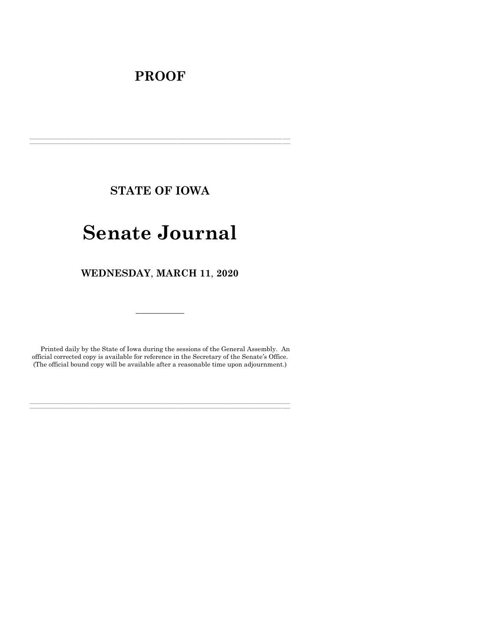## **PROOF**

**STATE OF IOWA**

**\_\_\_\_\_\_\_\_\_\_\_\_\_\_\_\_\_\_\_\_\_\_\_\_\_\_\_\_\_\_\_\_\_\_\_\_\_\_\_\_\_\_\_\_\_\_\_\_\_\_\_\_\_\_\_\_\_\_\_\_\_\_\_\_\_\_\_\_\_\_\_\_\_\_\_\_\_\_\_\_\_\_\_\_\_\_\_\_\_\_\_\_\_\_\_\_\_\_\_\_\_\_\_\_\_\_\_\_\_\_\_\_\_\_\_\_\_\_\_\_\_\_\_\_\_\_\_\_\_ \_\_\_\_\_\_\_\_\_\_\_\_\_\_\_\_\_\_\_\_\_\_\_\_\_\_\_\_\_\_\_\_\_\_\_\_\_\_\_\_\_\_\_\_\_\_\_\_\_\_\_\_\_\_\_\_\_\_\_\_\_\_\_\_\_\_\_\_\_\_\_\_\_\_\_\_\_\_\_\_\_\_\_\_\_\_\_\_\_\_\_\_\_\_\_\_\_\_\_\_\_\_\_\_\_\_\_\_\_\_\_\_\_\_\_\_\_\_\_\_\_\_\_\_\_\_\_\_\_**

# **Senate Journal**

**WEDNESDAY**, **MARCH 11**, **2020**

Printed daily by the State of Iowa during the sessions of the General Assembly. An official corrected copy is available for reference in the Secretary of the Senate's Office. (The official bound copy will be available after a reasonable time upon adjournment.)

**\_\_\_\_\_\_\_\_\_\_\_\_\_\_\_\_\_\_\_\_\_\_\_\_\_\_\_\_\_\_\_\_\_\_\_\_\_\_\_\_\_\_\_\_\_\_\_\_\_\_\_\_\_\_\_\_\_\_\_\_\_\_\_\_\_\_\_\_\_\_\_\_\_\_\_\_\_\_\_\_\_\_\_\_\_\_\_\_\_\_\_\_\_\_\_\_\_\_\_\_\_\_\_\_\_\_\_\_\_\_\_\_\_\_\_\_\_\_\_\_\_\_\_\_\_\_\_\_\_ \_\_\_\_\_\_\_\_\_\_\_\_\_\_\_\_\_\_\_\_\_\_\_\_\_\_\_\_\_\_\_\_\_\_\_\_\_\_\_\_\_\_\_\_\_\_\_\_\_\_\_\_\_\_\_\_\_\_\_\_\_\_\_\_\_\_\_\_\_\_\_\_\_\_\_\_\_\_\_\_\_\_\_\_\_\_\_\_\_\_\_\_\_\_\_\_\_\_\_\_\_\_\_\_\_\_\_\_\_\_\_\_\_\_\_\_\_\_\_\_\_\_\_\_\_\_\_\_\_**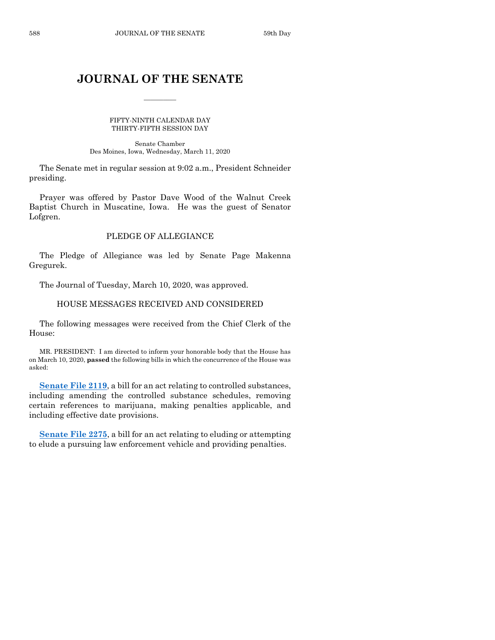## **JOURNAL OF THE SENATE**

 $\frac{1}{2}$ 

FIFTY-NINTH CALENDAR DAY THIRTY-FIFTH SESSION DAY

Senate Chamber Des Moines, Iowa, Wednesday, March 11, 2020

The Senate met in regular session at 9:02 a.m., President Schneider presiding.

Prayer was offered by Pastor Dave Wood of the Walnut Creek Baptist Church in Muscatine, Iowa. He was the guest of Senator Lofgren.

## PLEDGE OF ALLEGIANCE

The Pledge of Allegiance was led by Senate Page Makenna Gregurek.

The Journal of Tuesday, March 10, 2020, was approved.

## HOUSE MESSAGES RECEIVED AND CONSIDERED

The following messages were received from the Chief Clerk of the House:

MR. PRESIDENT: I am directed to inform your honorable body that the House has on March 10, 2020, **passed** the following bills in which the concurrence of the House was asked:

**[Senate File 2119](https://www.legis.iowa.gov/legislation/BillBook?ga=88&ba=SF2119)**, a bill for an act relating to controlled substances, including amending the controlled substance schedules, removing certain references to marijuana, making penalties applicable, and including effective date provisions.

**[Senate File 2275](https://www.legis.iowa.gov/legislation/BillBook?ga=88&ba=SF2275)**, a bill for an act relating to eluding or attempting to elude a pursuing law enforcement vehicle and providing penalties.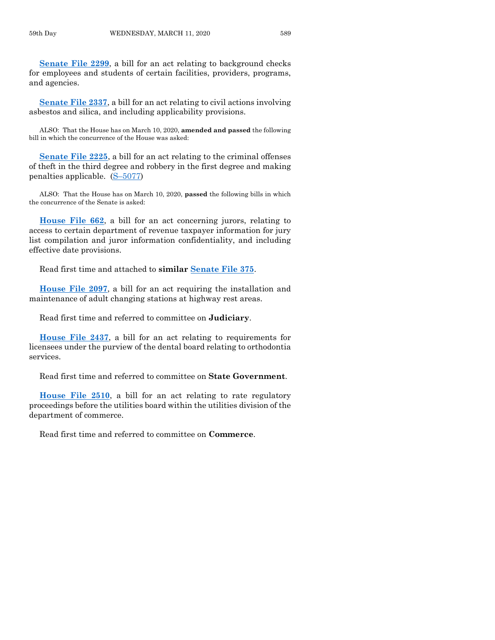**[Senate File 2299](https://www.legis.iowa.gov/legislation/BillBook?ga=88&ba=SF2299)**, a bill for an act relating to background checks for employees and students of certain facilities, providers, programs, and agencies.

**[Senate File 2337](https://www.legis.iowa.gov/legislation/BillBook?ga=88&ba=SF2337)**, a bill for an act relating to civil actions involving asbestos and silica, and including applicability provisions.

ALSO: That the House has on March 10, 2020, **amended and passed** the following bill in which the concurrence of the House was asked:

**[Senate File 2225](https://www.legis.iowa.gov/legislation/BillBook?ga=88&ba=SF2225)**, a bill for an act relating to the criminal offenses of theft in the third degree and robbery in the first degree and making penalties applicable. (S–[5077\)](https://www.legis.iowa.gov/legislation/BillBook?ga=88&ba=S5077)

ALSO: That the House has on March 10, 2020, **passed** the following bills in which the concurrence of the Senate is asked:

**[House File 662](https://www.legis.iowa.gov/legislation/BillBook?ga=88&ba=HF662)**, a bill for an act concerning jurors, relating to access to certain department of revenue taxpayer information for jury list compilation and juror information confidentiality, and including effective date provisions.

Read first time and attached to **similar [Senate File 375](https://www.legis.iowa.gov/legislation/BillBook?ga=88&ba=SF375)**.

**[House File 2097](https://www.legis.iowa.gov/legislation/BillBook?ga=88&ba=HF2097)**, a bill for an act requiring the installation and maintenance of adult changing stations at highway rest areas.

Read first time and referred to committee on **Judiciary**.

**[House File 2437](https://www.legis.iowa.gov/legislation/BillBook?ga=88&ba=HF2437)**, a bill for an act relating to requirements for licensees under the purview of the dental board relating to orthodontia services.

Read first time and referred to committee on **State Government**.

**[House File 2510](https://www.legis.iowa.gov/legislation/BillBook?ga=88&ba=HF2510)**, a bill for an act relating to rate regulatory proceedings before the utilities board within the utilities division of the department of commerce.

Read first time and referred to committee on **Commerce**.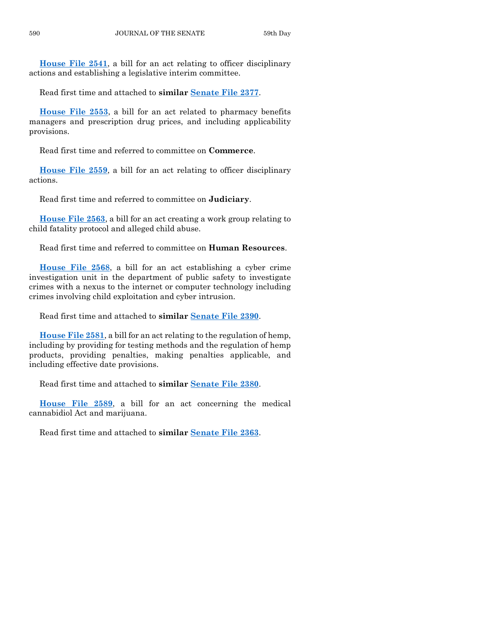**[House File 2541](https://www.legis.iowa.gov/legislation/BillBook?ga=88&ba=HF2541)**, a bill for an act relating to officer disciplinary actions and establishing a legislative interim committee.

Read first time and attached to **similar [Senate File 2377](https://www.legis.iowa.gov/legislation/BillBook?ga=88&ba=SF2377)**.

**[House File 2553](https://www.legis.iowa.gov/legislation/BillBook?ga=88&ba=HF2553)**, a bill for an act related to pharmacy benefits managers and prescription drug prices, and including applicability provisions.

Read first time and referred to committee on **Commerce**.

**[House File 2559](https://www.legis.iowa.gov/legislation/BillBook?ga=88&ba=HF2559)**, a bill for an act relating to officer disciplinary actions.

Read first time and referred to committee on **Judiciary**.

**[House File 2563](https://www.legis.iowa.gov/legislation/BillBook?ga=88&ba=HF2563)**, a bill for an act creating a work group relating to child fatality protocol and alleged child abuse.

Read first time and referred to committee on **Human Resources**.

**[House File 2568](https://www.legis.iowa.gov/legislation/BillBook?ga=88&ba=HF2568)**, a bill for an act establishing a cyber crime investigation unit in the department of public safety to investigate crimes with a nexus to the internet or computer technology including crimes involving child exploitation and cyber intrusion.

Read first time and attached to **similar [Senate File 2390](https://www.legis.iowa.gov/legislation/BillBook?ga=88&ba=SF2390)**.

**[House File 2581](https://www.legis.iowa.gov/legislation/BillBook?ga=88&ba=HF2581)**, a bill for an act relating to the regulation of hemp, including by providing for testing methods and the regulation of hemp products, providing penalties, making penalties applicable, and including effective date provisions.

Read first time and attached to **similar [Senate File 2380](https://www.legis.iowa.gov/legislation/BillBook?ga=88&ba=SF2380)**.

**[House File 2589](https://www.legis.iowa.gov/legislation/BillBook?ga=88&ba=HF2589)**, a bill for an act concerning the medical cannabidiol Act and marijuana.

Read first time and attached to **similar [Senate File 2363](https://www.legis.iowa.gov/legislation/BillBook?ga=88&ba=SF2363)**.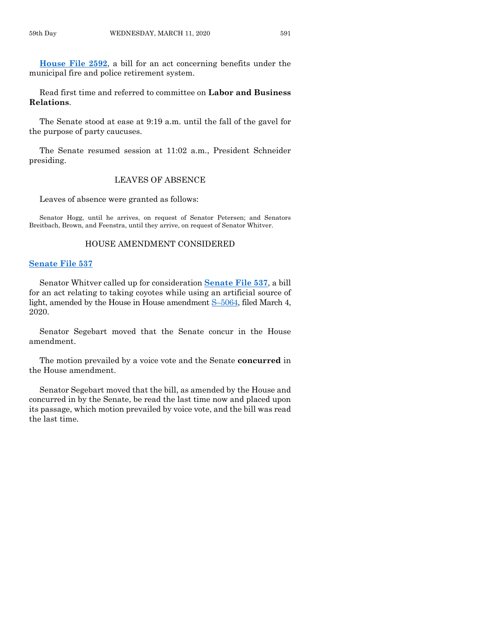**[House File 2592](https://www.legis.iowa.gov/legislation/BillBook?ga=88&ba=HF2592)**, a bill for an act concerning benefits under the municipal fire and police retirement system.

Read first time and referred to committee on **Labor and Business Relations**.

The Senate stood at ease at 9:19 a.m. until the fall of the gavel for the purpose of party caucuses.

The Senate resumed session at 11:02 a.m., President Schneider presiding.

## LEAVES OF ABSENCE

Leaves of absence were granted as follows:

Senator Hogg, until he arrives, on request of Senator Petersen; and Senators Breitbach, Brown, and Feenstra, until they arrive, on request of Senator Whitver.

#### HOUSE AMENDMENT CONSIDERED

## **[Senate File 537](https://www.legis.iowa.gov/legislation/BillBook?ga=88&ba=SF537)**

Senator Whitver called up for consideration **[Senate File 537](https://www.legis.iowa.gov/legislation/BillBook?ga=88&ba=SF537)**, a bill for an act relating to taking coyotes while using an artificial source of light, amended by the House in House amendment S–[5064,](https://www.legis.iowa.gov/legislation/BillBook?ga=88&ba=S5064) filed March 4, 2020.

Senator Segebart moved that the Senate concur in the House amendment.

The motion prevailed by a voice vote and the Senate **concurred** in the House amendment.

Senator Segebart moved that the bill, as amended by the House and concurred in by the Senate, be read the last time now and placed upon its passage, which motion prevailed by voice vote, and the bill was read the last time.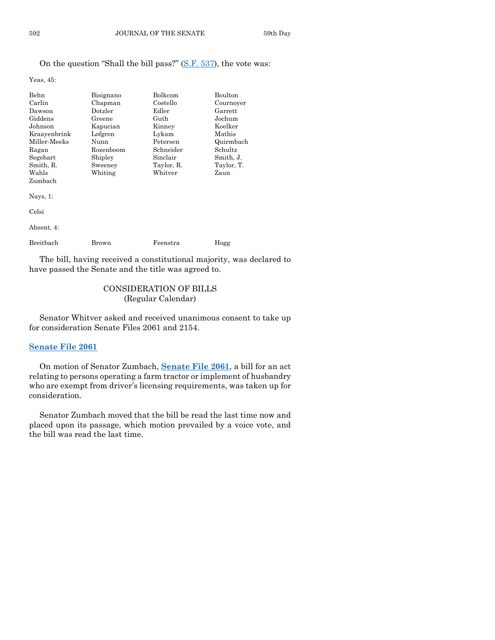## On the question "Shall the bill pass?" [\(S.F. 537\)](https://www.legis.iowa.gov/legislation/BillBook?ga=88&ba=SF537), the vote was:

Yeas, 45:

| Behn         | Bisignano | <b>Bolkcom</b> | Boulton    |
|--------------|-----------|----------------|------------|
| Carlin       | Chapman   | Costello       | Cournover  |
| Dawson       | Dotzler   | Edler          | Garrett    |
| Giddens      | Greene    | Guth           | Jochum     |
| Johnson      | Kapucian  | Kinney         | Koelker    |
| Kraayenbrink | Lofgren   | Lykam          | Mathis     |
| Miller Meeks | Nunn      | Petersen       | Quirmbach  |
| Ragan        | Rozenboom | Schneider      | Schultz    |
| Segebart     | Shipley   | Sinclair       | Smith, J.  |
| Smith, R.    | Sweeney   | Taylor, R.     | Taylor, T. |
| Wahls        | Whiting   | Whitver        | Zaun       |
| Zumbach      |           |                |            |
| Navs, $1$ :  |           |                |            |
| Celsi        |           |                |            |
|              |           |                |            |

| Absent, 4: |       |          |      |
|------------|-------|----------|------|
| Breitbach  | Brown | Feenstra | Hogg |

The bill, having received a constitutional majority, was declared to have passed the Senate and the title was agreed to.

## CONSIDERATION OF BILLS (Regular Calendar)

Senator Whitver asked and received unanimous consent to take up for consideration Senate Files 2061 and 2154.

## **[Senate File 2061](https://www.legis.iowa.gov/legislation/BillBook?ga=88&ba=SF2061)**

On motion of Senator Zumbach, **[Senate File 2061](https://www.legis.iowa.gov/legislation/BillBook?ga=88&ba=SF2061)**, a bill for an act relating to persons operating a farm tractor or implement of husbandry who are exempt from driver's licensing requirements, was taken up for consideration.

Senator Zumbach moved that the bill be read the last time now and placed upon its passage, which motion prevailed by a voice vote, and the bill was read the last time.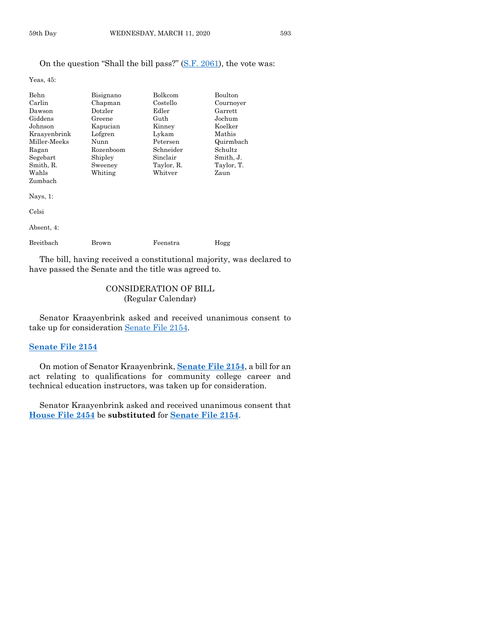## On the question "Shall the bill pass?" [\(S.F. 2061\)](https://www.legis.iowa.gov/legislation/BillBook?ga=88&ba=SF2061), the vote was:

Yeas, 45:

| <b>Behn</b>  | Bisignano | <b>Bolkcom</b> | <b>Boulton</b> |
|--------------|-----------|----------------|----------------|
| Carlin       | Chapman   | Costello       | Cournoyer      |
| Dawson       | Dotzler   | Edler          | Garrett        |
| Giddens      | Greene    | Guth           | Jochum         |
| Johnson      | Kapucian  | Kinney         | Koelker        |
| Kraayenbrink | Lofgren   | Lykam          | Mathis         |
| Miller-Meeks | Nunn      | Petersen       | Quirmbach      |
| Ragan        | Rozenboom | Schneider      | Schultz        |
| Segebart     | Shipley   | Sinclair       | Smith, J.      |
| Smith, R.    | Sweeney   | Taylor, R.     | Taylor, T.     |
| Wahls        | Whiting   | Whitver        | Zaun           |
| Zumbach      |           |                |                |
| Nays, $1$ :  |           |                |                |
| Celsi        |           |                |                |

| Absent, 4: |       |          |      |
|------------|-------|----------|------|
| Breitbach  | Brown | Feenstra | Hogg |

The bill, having received a constitutional majority, was declared to have passed the Senate and the title was agreed to.

## CONSIDERATION OF BILL (Regular Calendar)

Senator Kraayenbrink asked and received unanimous consent to take up for consideration [Senate File 2154.](https://www.legis.iowa.gov/legislation/BillBook?ga=88&ba=SF2154)

## **[Senate File 2154](https://www.legis.iowa.gov/legislation/BillBook?ga=88&ba=SF2154)**

On motion of Senator Kraayenbrink, **[Senate File 2154](https://www.legis.iowa.gov/legislation/BillBook?ga=88&ba=SF2154)**, a bill for an act relating to qualifications for community college career and technical education instructors, was taken up for consideration.

Senator Kraayenbrink asked and received unanimous consent that **[House File 2454](https://www.legis.iowa.gov/legislation/BillBook?ga=88&ba=HF2454)** be **substituted** for **[Senate File 2154](https://www.legis.iowa.gov/legislation/BillBook?ga=88&ba=SF2154)**.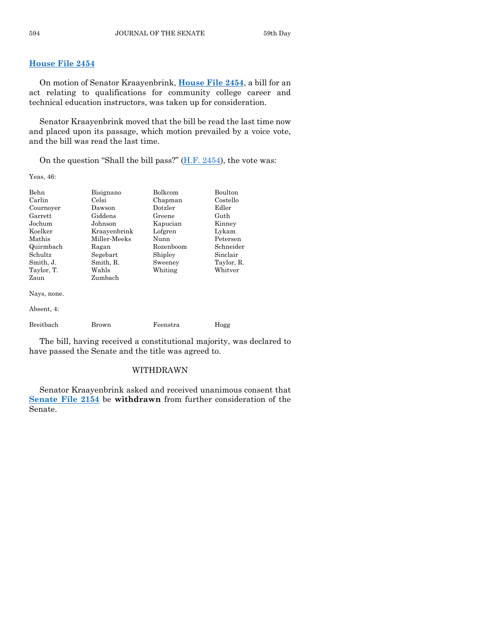## **[House File 2454](https://www.legis.iowa.gov/legislation/BillBook?ga=88&ba=HF2454)**

On motion of Senator Kraayenbrink, **[House File 2454](https://www.legis.iowa.gov/legislation/BillBook?ga=88&ba=HF2454)**, a bill for an act relating to qualifications for community college career and technical education instructors, was taken up for consideration.

Senator Kraayenbrink moved that the bill be read the last time now and placed upon its passage, which motion prevailed by a voice vote, and the bill was read the last time.

On the question "Shall the bill pass?"  $(H.F. 2454)$ , the vote was:

Yeas, 46:

| Behn        | Bisignano    | <b>Bolkcom</b>   | Boulton    |
|-------------|--------------|------------------|------------|
| Carlin      | Celsi        | Chapman          | Costello   |
| Cournoyer   | Dawson       | $_{\rm Dotzler}$ | Edler      |
| Garrett     | Giddens      | Greene           | Guth       |
| Jochum      | Johnson      | Kapucian         | Kinney     |
| Koelker     | Kraavenbrink | Lofgren          | Lykam      |
| Mathis      | Miller-Meeks | Nunn             | Petersen   |
| Quirmbach   | Ragan        | Rozenboom        | Schneider  |
| Schultz     | Segebart     | Shipley          | Sinclair   |
| Smith, J.   | Smith, R.    | Sweeney          | Taylor, R. |
| Taylor, T.  | Wahls        | Whiting          | Whitver    |
| Zaun        | Zumbach      |                  |            |
| Nays, none. |              |                  |            |
| Absent, 4:  |              |                  |            |
| Breithach   | Brown        | Feenstra         | Hogg       |

The bill, having received a constitutional majority, was declared to have passed the Senate and the title was agreed to.

## WITHDRAWN

Senator Kraayenbrink asked and received unanimous consent that **[Senate File 2154](https://www.legis.iowa.gov/legislation/BillBook?ga=88&ba=SF2154)** be **withdrawn** from further consideration of the Senate.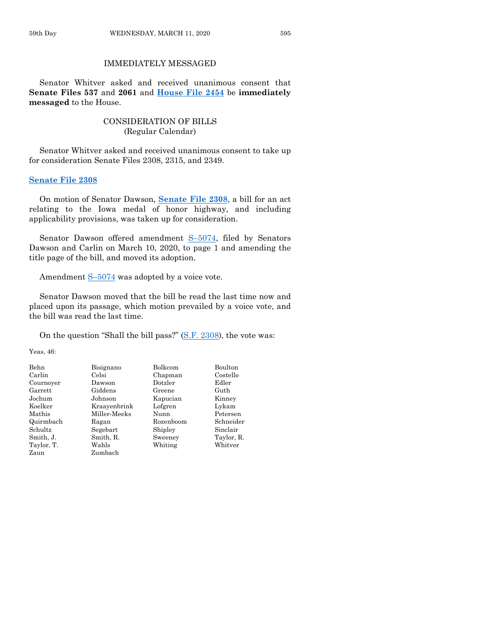## IMMEDIATELY MESSAGED

Senator Whitver asked and received unanimous consent that **Senate Files 537** and **2061** and **[House File 2454](https://www.legis.iowa.gov/legislation/BillBook?ga=88&ba=HF2454)** be **immediately messaged** to the House.

## CONSIDERATION OF BILLS (Regular Calendar)

Senator Whitver asked and received unanimous consent to take up for consideration Senate Files 2308, 2315, and 2349.

## **[Senate File 2308](https://www.legis.iowa.gov/legislation/BillBook?ga=88&ba=SF2308)**

On motion of Senator Dawson, **[Senate File 2308](https://www.legis.iowa.gov/legislation/BillBook?ga=88&ba=SF2308)**, a bill for an act relating to the Iowa medal of honor highway, and including applicability provisions, was taken up for consideration.

Senator Dawson offered amendment  $S-5074$ , filed by Senators Dawson and Carlin on March 10, 2020, to page 1 and amending the title page of the bill, and moved its adoption.

Amendment S–[5074](https://www.legis.iowa.gov/legislation/BillBook?ga=88&ba=S5074) was adopted by a voice vote.

Senator Dawson moved that the bill be read the last time now and placed upon its passage, which motion prevailed by a voice vote, and the bill was read the last time.

On the question "Shall the bill pass?" [\(S.F. 2308\)](https://www.legis.iowa.gov/legislation/BillBook?ga=88&ba=SF2308), the vote was:

Yeas, 46:

| Behn       | Bisignano    | Bolkcom          | Boulton    |
|------------|--------------|------------------|------------|
| Carlin     | Celsi        | Chapman          | Costello   |
| Cournoyer  | Dawson       | $_{\rm Dotzler}$ | Edler      |
| Garrett    | Giddens      | Greene           | Guth       |
| Jochum     | Johnson      | Kapucian         | Kinney     |
| Koelker    | Kraavenbrink | Lofgren          | Lykam      |
| Mathis     | Miller-Meeks | Nunn             | Petersen   |
| Quirmbach  | Ragan        | Rozenboom        | Schneider  |
| Schultz    | Segebart     | Shipley          | Sinclair   |
| Smith, J.  | Smith, R.    | Sweeney          | Taylor, R. |
| Taylor, T. | Wahls        | Whiting          | Whitver    |
| Zaun       | Zumbach      |                  |            |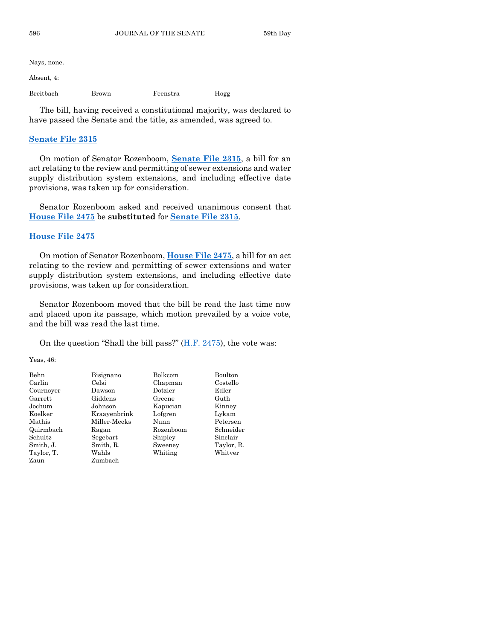Nays, none.

Absent, 4:

Breitbach Brown Feenstra Hogg

The bill, having received a constitutional majority, was declared to have passed the Senate and the title, as amended, was agreed to.

## **[Senate File 2315](https://www.legis.iowa.gov/legislation/BillBook?ga=88&ba=SF2315)**

On motion of Senator Rozenboom, **[Senate File 2315](https://www.legis.iowa.gov/legislation/BillBook?ga=88&ba=SF2315)**, a bill for an act relating to the review and permitting of sewer extensions and water supply distribution system extensions, and including effective date provisions, was taken up for consideration.

Senator Rozenboom asked and received unanimous consent that **[House File 2475](https://www.legis.iowa.gov/legislation/BillBook?ga=88&ba=HF2475)** be **substituted** for **[Senate File 2315](https://www.legis.iowa.gov/legislation/BillBook?ga=88&ba=SF2315)**.

## **[House File 2475](https://www.legis.iowa.gov/legislation/BillBook?ga=88&ba=HF2475)**

On motion of Senator Rozenboom, **[House File 2475](https://www.legis.iowa.gov/legislation/BillBook?ga=88&ba=HF2475)**, a bill for an act relating to the review and permitting of sewer extensions and water supply distribution system extensions, and including effective date provisions, was taken up for consideration.

Senator Rozenboom moved that the bill be read the last time now and placed upon its passage, which motion prevailed by a voice vote, and the bill was read the last time.

On the question "Shall the bill pass?" [\(H.F. 2475\)](https://www.legis.iowa.gov/legislation/BillBook?ga=88&ba=HF2475), the vote was:

Yeas, 46:

| Behn       | Bisignano    | Bolkcom   | Boulton    |
|------------|--------------|-----------|------------|
| Carlin     | Celsi        | Chapman   | Costello   |
| Cournoyer  | Dawson       | Dotzler   | Edler      |
| Garrett    | Giddens      | Greene    | Guth       |
| Jochum     | Johnson      | Kapucian  | Kinney     |
| Koelker    | Kraayenbrink | Lofgren   | Lykam      |
| Mathis     | Miller-Meeks | Nunn      | Petersen   |
| Quirmbach  | Ragan        | Rozenboom | Schneider  |
| Schultz    | Segebart     | Shipley   | Sinclair   |
| Smith, J.  | Smith, R.    | Sweeney   | Taylor, R. |
| Taylor, T. | Wahls        | Whiting   | Whitver    |
| Zaun       | Zumbach      |           |            |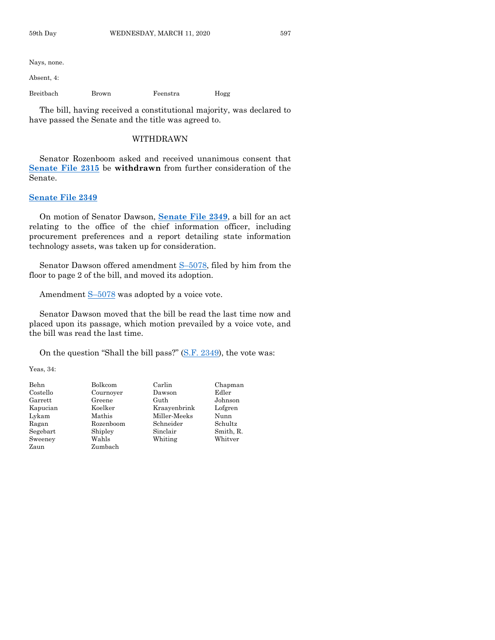Nays, none.

Absent, 4:

Breitbach Brown Feenstra Hogg

The bill, having received a constitutional majority, was declared to have passed the Senate and the title was agreed to.

#### WITHDRAWN

Senator Rozenboom asked and received unanimous consent that **[Senate File 2315](https://www.legis.iowa.gov/legislation/BillBook?ga=88&ba=SF2315)** be **withdrawn** from further consideration of the Senate.

#### **[Senate File 2349](https://www.legis.iowa.gov/legislation/BillBook?ga=88&ba=SF2349)**

On motion of Senator Dawson, **[Senate File 2349](https://www.legis.iowa.gov/legislation/BillBook?ga=88&ba=SF2349)**, a bill for an act relating to the office of the chief information officer, including procurement preferences and a report detailing state information technology assets, was taken up for consideration.

Senator Dawson offered amendment S–[5078,](https://www.legis.iowa.gov/legislation/BillBook?ga=88&ba=S5078) filed by him from the floor to page 2 of the bill, and moved its adoption.

Amendment  $S-5078$  $S-5078$  was adopted by a voice vote.

Senator Dawson moved that the bill be read the last time now and placed upon its passage, which motion prevailed by a voice vote, and the bill was read the last time.

On the question "Shall the bill pass?" [\(S.F. 2349\)](https://www.legis.iowa.gov/legislation/BillBook?ga=88&ba=SF2349), the vote was:

Yeas, 34:

| Behn     | Bolkcom   | Carlin       | Chapman   |
|----------|-----------|--------------|-----------|
| Costello | Cournoyer | Dawson       | Edler     |
| Garrett  | Greene    | Guth         | Johnson   |
| Kapucian | Koelker   | Kraavenbrink | Lofgren   |
| Lykam    | Mathis    | Miller-Meeks | Nunn      |
| Ragan    | Rozenboom | Schneider    | Schultz   |
| Segebart | Shipley   | Sinclair     | Smith, R. |
| Sweeney  | Wahls     | Whiting      | Whitver   |
| Zaun     | Zumbach   |              |           |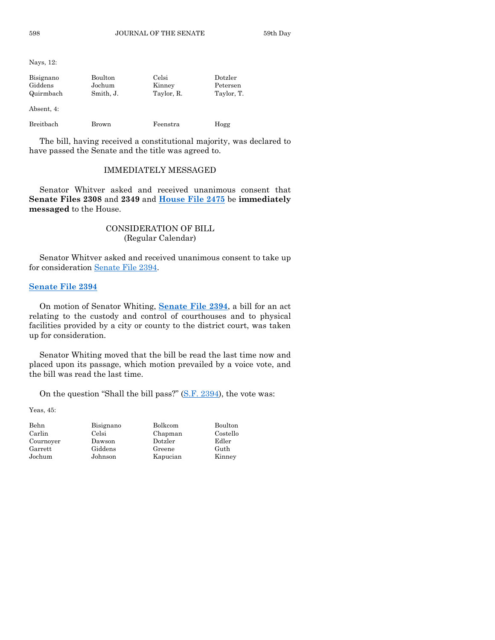Nays, 12:

| Bisignano<br>Giddens<br>Quirmbach | Boulton<br>Jochum<br>Smith, J. | Celsi<br>Kinney<br>Taylor, R. | Dotzler<br>Petersen<br>Taylor, T. |
|-----------------------------------|--------------------------------|-------------------------------|-----------------------------------|
| Absent, 4:                        |                                |                               |                                   |
| Breitbach                         | Brown                          | Feenstra                      | Hogg                              |

The bill, having received a constitutional majority, was declared to have passed the Senate and the title was agreed to.

#### IMMEDIATELY MESSAGED

Senator Whitver asked and received unanimous consent that **Senate Files 2308** and **2349** and **[House File 2475](https://www.legis.iowa.gov/legislation/BillBook?ga=88&ba=HF2475)** be **immediately messaged** to the House.

## CONSIDERATION OF BILL (Regular Calendar)

Senator Whitver asked and received unanimous consent to take up for consideration [Senate File 2394.](https://www.legis.iowa.gov/legislation/BillBook?ga=88&ba=SF2394)

## **[Senate File 2394](https://www.legis.iowa.gov/legislation/BillBook?ga=88&ba=SF2394)**

On motion of Senator Whiting, **[Senate File 2394](https://www.legis.iowa.gov/legislation/BillBook?ga=88&ba=SF2394)**, a bill for an act relating to the custody and control of courthouses and to physical facilities provided by a city or county to the district court, was taken up for consideration.

Senator Whiting moved that the bill be read the last time now and placed upon its passage, which motion prevailed by a voice vote, and the bill was read the last time.

On the question "Shall the bill pass?" [\(S.F. 2394\)](https://www.legis.iowa.gov/legislation/BillBook?ga=88&ba=SF2394), the vote was:

Yeas, 45:

| Behn      |
|-----------|
| Carlin    |
| Cournoyer |
| Garrett   |
| Jochum    |

Dawson Dotzler Edler Giddens Greene Guth

Bisignano Bolkcom Boulton

Celsi Chapman Costello Johnson Kapucian Kinney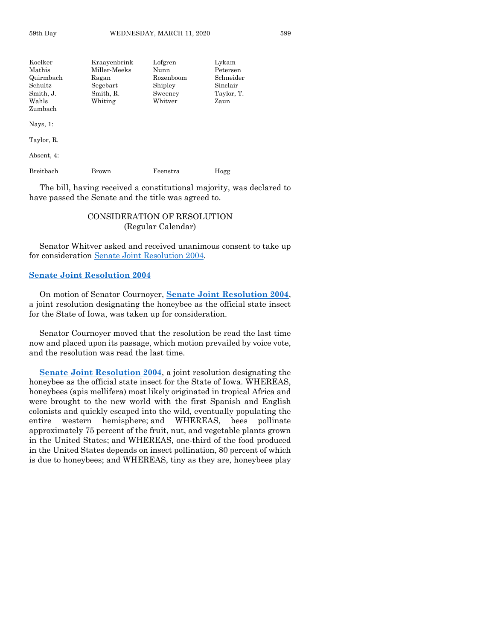| Koelker          | Kraayenbrink | Lofgren   | Lykam      |
|------------------|--------------|-----------|------------|
| Mathis           | Miller-Meeks | Nunn      | Petersen   |
| Quirmbach        | Ragan        | Rozenboom | Schneider  |
| Schultz          | Segebart     | Shipley   | Sinclair   |
| Smith, J.        | Smith, R.    | Sweeney   | Taylor, T. |
| Wahls            | Whiting      | Whitver   | Zaun       |
| Zumbach          |              |           |            |
| Nays, $1$ :      |              |           |            |
| Taylor, R.       |              |           |            |
| Absent, 4:       |              |           |            |
| <b>Breithach</b> | Brown        | Feenstra  | Hogg       |

The bill, having received a constitutional majority, was declared to have passed the Senate and the title was agreed to.

## CONSIDERATION OF RESOLUTION (Regular Calendar)

Senator Whitver asked and received unanimous consent to take up for consideration [Senate Joint Resolution 2004.](https://www.legis.iowa.gov/legislation/BillBook?ga=88&ba=SJR2004)

## **[Senate Joint Resolution 2004](https://www.legis.iowa.gov/legislation/BillBook?ga=88&ba=SJR2004)**

On motion of Senator Cournoyer, **[Senate Joint Resolution 2004](https://www.legis.iowa.gov/legislation/BillBook?ga=88&ba=SJR2004)**, a joint resolution designating the honeybee as the official state insect for the State of Iowa, was taken up for consideration.

Senator Cournoyer moved that the resolution be read the last time now and placed upon its passage, which motion prevailed by voice vote, and the resolution was read the last time.

**[Senate Joint Resolution 2004](https://www.legis.iowa.gov/legislation/BillBook?ga=88&ba=SJR2004)**, a joint resolution designating the honeybee as the official state insect for the State of Iowa. WHEREAS, honeybees (apis mellifera) most likely originated in tropical Africa and were brought to the new world with the first Spanish and English colonists and quickly escaped into the wild, eventually populating the entire western hemisphere; and WHEREAS, bees pollinate approximately 75 percent of the fruit, nut, and vegetable plants grown in the United States; and WHEREAS, one-third of the food produced in the United States depends on insect pollination, 80 percent of which is due to honeybees; and WHEREAS, tiny as they are, honeybees play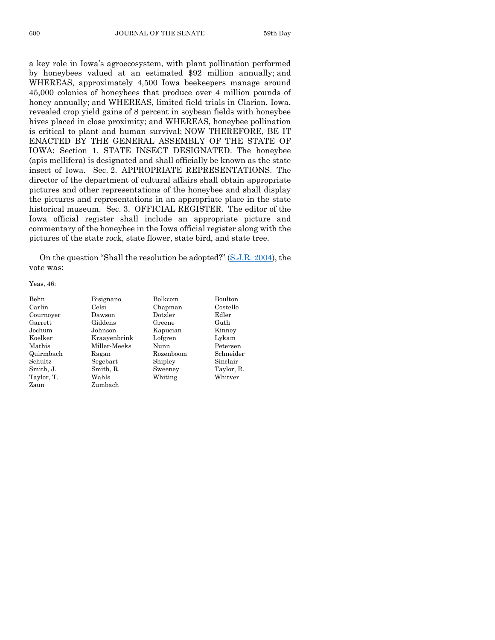a key role in Iowa's agroecosystem, with plant pollination performed by honeybees valued at an estimated \$92 million annually; and WHEREAS, approximately 4,500 Iowa beekeepers manage around 45,000 colonies of honeybees that produce over 4 million pounds of honey annually; and WHEREAS, limited field trials in Clarion, Iowa, revealed crop yield gains of 8 percent in soybean fields with honeybee hives placed in close proximity; and WHEREAS, honeybee pollination is critical to plant and human survival; NOW THEREFORE, BE IT ENACTED BY THE GENERAL ASSEMBLY OF THE STATE OF IOWA: Section 1. STATE INSECT DESIGNATED. The honeybee (apis mellifera) is designated and shall officially be known as the state insect of Iowa. Sec. 2. APPROPRIATE REPRESENTATIONS. The director of the department of cultural affairs shall obtain appropriate pictures and other representations of the honeybee and shall display the pictures and representations in an appropriate place in the state historical museum. Sec. 3. OFFICIAL REGISTER. The editor of the Iowa official register shall include an appropriate picture and commentary of the honeybee in the Iowa official register along with the pictures of the state rock, state flower, state bird, and state tree.

On the question "Shall the resolution be adopted?" [\(S.J.R. 2004\)](https://www.legis.iowa.gov/legislation/BillBook?ga=88&ba=SJR2004), the vote was:

Yeas, 46:

| Behn       |
|------------|
| Carlin     |
| Cournoyer  |
| Garrett    |
| Jochum.    |
| Koelker    |
| Mathis     |
| Quirmbach  |
| Schultz    |
| Smith, J.  |
| Taylor, T. |
| Zaun       |
|            |

Bisignano Bolkcom Boulton Celsi Chapman Costello Dawson Dotzler Edler Giddens Greene Guth Johnson Kapucian Kinney Kraayenbrink Lofgren Lykam Mathis Miller-Meeks Nunn Petersen Ragan Rozenboom Schneider Segebart Shipley Sinclair Smith, R. Sweeney Taylor, R. Wahls Whiting Whitver Zumbach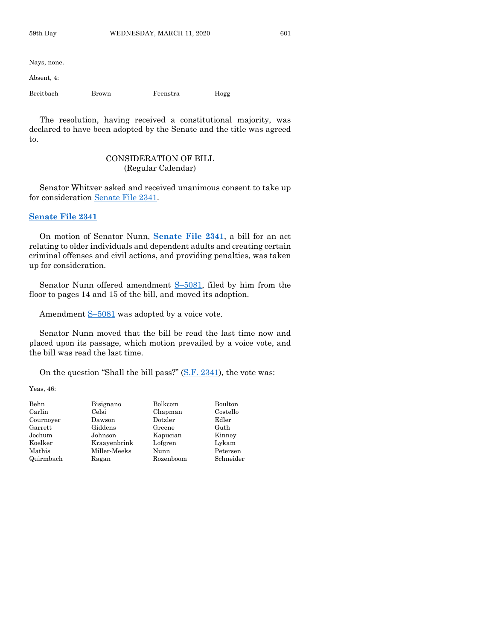Nays, none.

Absent, 4:

Breitbach Brown Feenstra Hogg

The resolution, having received a constitutional majority, was declared to have been adopted by the Senate and the title was agreed to.

## CONSIDERATION OF BILL (Regular Calendar)

Senator Whitver asked and received unanimous consent to take up for consideration [Senate File 2341.](https://www.legis.iowa.gov/legislation/BillBook?ga=88&ba=SF2341)

#### **[Senate File 2341](https://www.legis.iowa.gov/legislation/BillBook?ga=88&ba=SF2341)**

On motion of Senator Nunn, **[Senate File 2341](https://www.legis.iowa.gov/legislation/BillBook?ga=88&ba=SF2341)**, a bill for an act relating to older individuals and dependent adults and creating certain criminal offenses and civil actions, and providing penalties, was taken up for consideration.

Senator Nunn offered amendment S–[5081,](https://www.legis.iowa.gov/legislation/BillBook?ga=88&ba=S5081) filed by him from the floor to pages 14 and 15 of the bill, and moved its adoption.

Amendment  $S-5081$  $S-5081$  was adopted by a voice vote.

Senator Nunn moved that the bill be read the last time now and placed upon its passage, which motion prevailed by a voice vote, and the bill was read the last time.

On the question "Shall the bill pass?" [\(S.F. 2341\)](https://www.legis.iowa.gov/legislation/BillBook?ga=88&ba=SF2341), the vote was:

Yeas, 46:

| Behn      | Bisignano    | Bolkcom   | Boulton   |
|-----------|--------------|-----------|-----------|
| Carlin    | Celsi        | Chapman   | Costello  |
| Cournoyer | Dawson       | Dotzler   | Edler     |
| Garrett   | Giddens      | Greene    | Guth      |
| Jochum    | Johnson      | Kapucian  | Kinney    |
| Koelker   | Kraavenbrink | Lofgren   | Lykam     |
| Mathis    | Miller-Meeks | Nunn      | Petersen  |
| Quirmbach | Ragan        | Rozenboom | Schneider |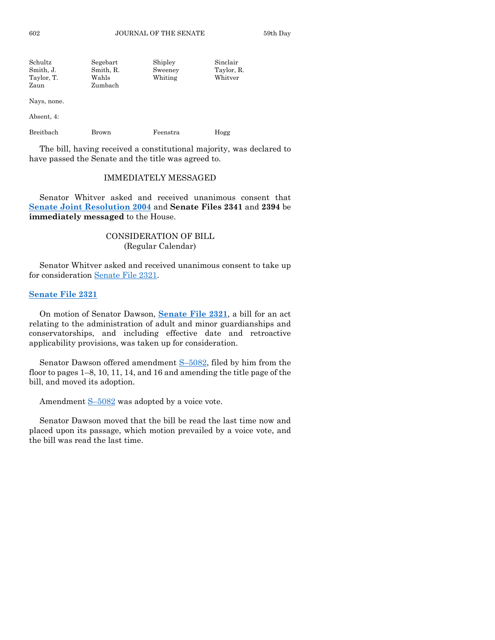| Schultz    | Segebart  | Shipley | Sinclair   |
|------------|-----------|---------|------------|
| Smith. J.  | Smith, R. | Sweeney | Taylor, R. |
| Taylor, T. | Wahls     | Whiting | Whitver    |
| Zaun       | Zumbach   |         |            |

Nays, none.

Absent, 4:

Breitbach Brown Feenstra Hogg

The bill, having received a constitutional majority, was declared to have passed the Senate and the title was agreed to.

## IMMEDIATELY MESSAGED

Senator Whitver asked and received unanimous consent that **[Senate Joint Resolution 2004](https://www.legis.iowa.gov/legislation/BillBook?ga=88&ba=SJR2004)** and **Senate Files 2341** and **2394** be **immediately messaged** to the House.

## CONSIDERATION OF BILL (Regular Calendar)

Senator Whitver asked and received unanimous consent to take up for consideration [Senate File 2321.](https://www.legis.iowa.gov/legislation/BillBook?ga=88&ba=SF2321)

## **[Senate File 2321](https://www.legis.iowa.gov/legislation/BillBook?ga=88&ba=SF2321)**

On motion of Senator Dawson, **[Senate File 2321](https://www.legis.iowa.gov/legislation/BillBook?ga=88&ba=SF2321)**, a bill for an act relating to the administration of adult and minor guardianships and conservatorships, and including effective date and retroactive applicability provisions, was taken up for consideration.

Senator Dawson offered amendment S–[5082,](https://www.legis.iowa.gov/legislation/BillBook?ga=88&ba=S5082) filed by him from the floor to pages 1–8, 10, 11, 14, and 16 and amending the title page of the bill, and moved its adoption.

Amendment  $S-5082$  $S-5082$  was adopted by a voice vote.

Senator Dawson moved that the bill be read the last time now and placed upon its passage, which motion prevailed by a voice vote, and the bill was read the last time.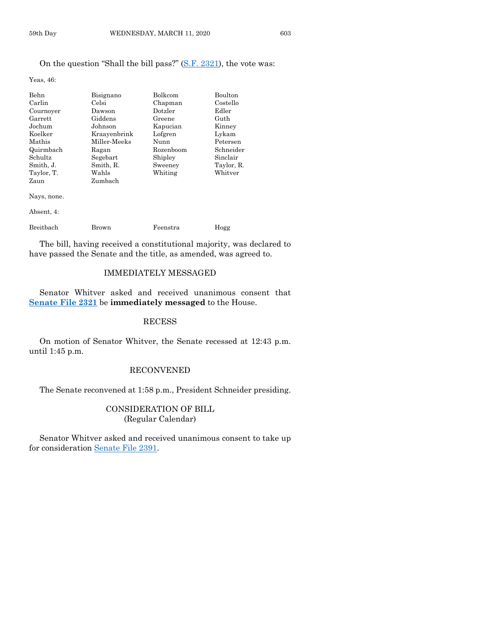Yeas, 46:

| Behn        | Bisignano    | Bolkcom   | Boulton    |
|-------------|--------------|-----------|------------|
| Carlin      | Celsi        | Chapman   | Costello   |
| Cournoyer   | Dawson       | Dotzler   | Edler      |
| Garrett     | Giddens      | Greene    | Guth       |
| Jochum      | Johnson      | Kapucian  | Kinney     |
| Koelker     | Kraayenbrink | Lofgren   | Lykam      |
| Mathis      | Miller-Meeks | Nunn      | Petersen   |
| Quirmbach   | Ragan        | Rozenboom | Schneider  |
| Schultz     | Segebart     | Shipley   | Sinclair   |
| Smith, J.   | Smith, R.    | Sweeney   | Taylor, R. |
| Taylor, T.  | Wahls        | Whiting   | Whitver    |
| Zaun        | Zumbach      |           |            |
| Nays, none. |              |           |            |

Absent, 4:

| Breitbach | Brown | Feenstra | Hogg |
|-----------|-------|----------|------|

The bill, having received a constitutional majority, was declared to have passed the Senate and the title, as amended, was agreed to.

## IMMEDIATELY MESSAGED

Senator Whitver asked and received unanimous consent that **[Senate File 2321](https://www.legis.iowa.gov/legislation/BillBook?ga=88&ba=SF2321)** be **immediately messaged** to the House.

## RECESS

On motion of Senator Whitver, the Senate recessed at 12:43 p.m. until 1:45 p.m.

## RECONVENED

The Senate reconvened at 1:58 p.m., President Schneider presiding.

## CONSIDERATION OF BILL (Regular Calendar)

Senator Whitver asked and received unanimous consent to take up for consideration [Senate File 2391.](https://www.legis.iowa.gov/legislation/BillBook?ga=88&ba=SF2391)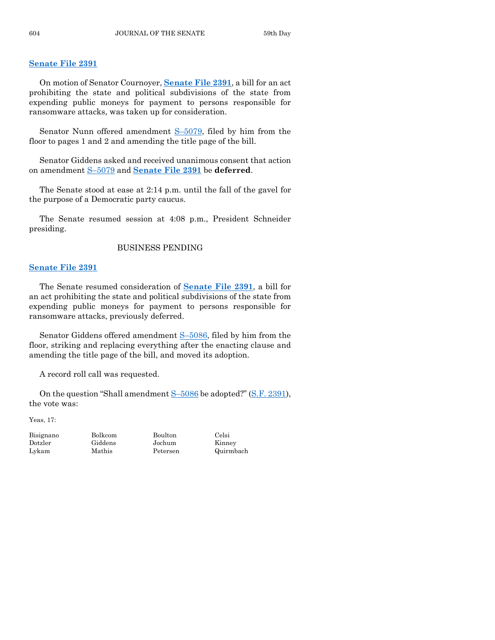## **[Senate File 2391](https://www.legis.iowa.gov/legislation/BillBook?ga=88&ba=SF2391)**

On motion of Senator Cournoyer, **[Senate File 2391](https://www.legis.iowa.gov/legislation/BillBook?ga=88&ba=SF2391)**, a bill for an act prohibiting the state and political subdivisions of the state from expending public moneys for payment to persons responsible for ransomware attacks, was taken up for consideration.

Senator Nunn offered amendment S–[5079,](https://www.legis.iowa.gov/legislation/BillBook?ga=88&ba=S5079) filed by him from the floor to pages 1 and 2 and amending the title page of the bill.

Senator Giddens asked and received unanimous consent that action on amendment S–[5079](https://www.legis.iowa.gov/legislation/BillBook?ga=88&ba=S5079) and **[Senate File 2391](https://www.legis.iowa.gov/legislation/BillBook?ga=88&ba=SF2391)** be **deferred**.

The Senate stood at ease at 2:14 p.m. until the fall of the gavel for the purpose of a Democratic party caucus.

The Senate resumed session at 4:08 p.m., President Schneider presiding.

#### BUSINESS PENDING

## **[Senate File 2391](https://www.legis.iowa.gov/legislation/BillBook?ga=88&ba=SF2391)**

The Senate resumed consideration of **[Senate File 2391](https://www.legis.iowa.gov/legislation/BillBook?ga=88&ba=SF2391)**, a bill for an act prohibiting the state and political subdivisions of the state from expending public moneys for payment to persons responsible for ransomware attacks, previously deferred.

Senator Giddens offered amendment S–[5086,](https://www.legis.iowa.gov/legislation/BillBook?ga=88&ba=S5086) filed by him from the floor, striking and replacing everything after the enacting clause and amending the title page of the bill, and moved its adoption.

A record roll call was requested.

On the question "Shall amendment S–[5086](https://www.legis.iowa.gov/legislation/BillBook?ga=88&ba=S5086) be adopted?" [\(S.F. 2391\)](https://www.legis.iowa.gov/legislation/BillBook?ga=88&ba=SF2391), the vote was:

Yeas, 17:

Bisignano Bolkcom Boulton Celsi Dotzler Giddens Jochum Kinney

Lykam Mathis Petersen Quirmbach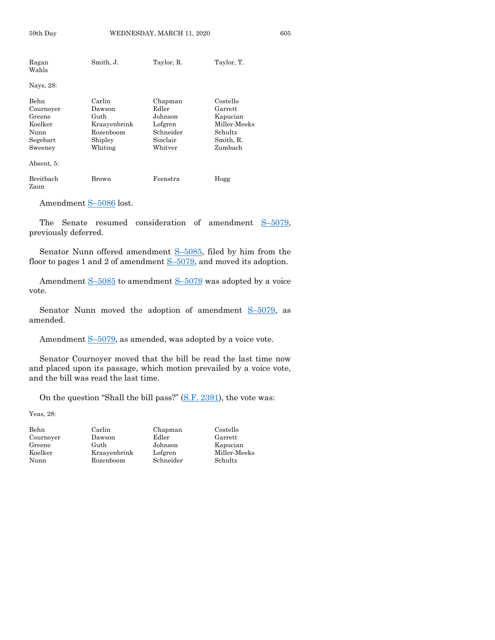| Ragan<br>Wahls                                                        | Smith, J.                                                                   | Taylor, R.                                                                 | Taylor, T.                                                                         |
|-----------------------------------------------------------------------|-----------------------------------------------------------------------------|----------------------------------------------------------------------------|------------------------------------------------------------------------------------|
| Nays, 28:                                                             |                                                                             |                                                                            |                                                                                    |
| Behn<br>Cournoyer<br>Greene<br>Koelker<br>Nunn<br>Segebart<br>Sweeney | Carlin<br>Dawson<br>Guth<br>Kraayenbrink<br>Rozenboom<br>Shipley<br>Whiting | Chapman<br>Edler<br>Johnson<br>Lofgren<br>Schneider<br>Sinclair<br>Whitver | Costello<br>Garrett<br>Kapucian<br>Miller-Meeks<br>Schultz<br>Smith, R.<br>Zumbach |
| Absent, 5:                                                            |                                                                             |                                                                            |                                                                                    |
| Breitbach<br>Zaun                                                     | Brown                                                                       | Feenstra                                                                   | Hogg                                                                               |

59th Day **WEDNESDAY, MARCH 11, 2020** 605

Amendment S–[5086](https://www.legis.iowa.gov/legislation/BillBook?ga=88&ba=S5086) lost.

The Senate resumed consideration of amendment S-[5079,](https://www.legis.iowa.gov/legislation/BillBook?ga=88&ba=S5079) previously deferred.

Senator Nunn offered amendment S–[5085,](https://www.legis.iowa.gov/legislation/BillBook?ga=88&ba=S5085) filed by him from the floor to pages 1 and 2 of amendment  $S-5079$ , and moved its adoption.

Amendment S-[5085](https://www.legis.iowa.gov/legislation/BillBook?ga=88&ba=S5085) to amendment S-[5079](https://www.legis.iowa.gov/legislation/BillBook?ga=88&ba=S5079) was adopted by a voice vote.

Senator Nunn moved the adoption of amendment S–[5079,](https://www.legis.iowa.gov/legislation/BillBook?ga=88&ba=S5079) as amended.

Amendment  $S$ –[5079,](https://www.legis.iowa.gov/legislation/BillBook?ga=88&ba=S5079) as amended, was adopted by a voice vote.

Senator Cournoyer moved that the bill be read the last time now and placed upon its passage, which motion prevailed by a voice vote, and the bill was read the last time.

On the question "Shall the bill pass?" [\(S.F. 2391\)](https://www.legis.iowa.gov/legislation/BillBook?ga=88&ba=SF2391), the vote was:

Yeas, 28:

Cournoyer Dawson Edler Garrett Greene Guth Johnson Kapucian<br>Koelker Kraayenbrink Lofgren Miller-Meeks Koelker Kraayenbrink Lofgren Nunn Rozenboom Schneider Schultz

Behn Carlin Chapman Costello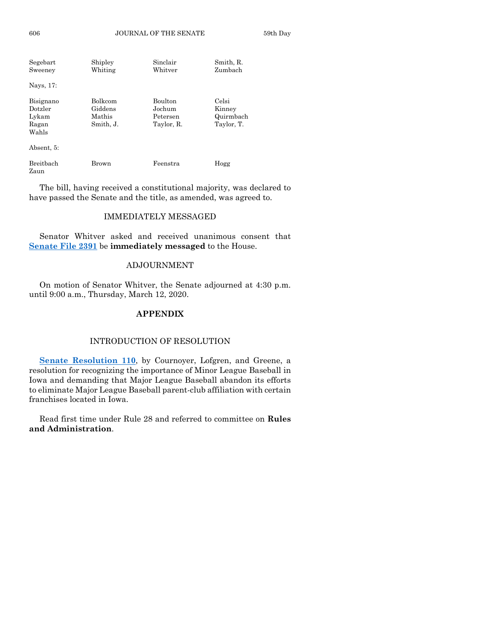| Segebart<br>Sweeney                             | Shipley<br>Whiting                               | Sinclair<br>Whitver                                | Smith, R.<br>Zumbach                       |
|-------------------------------------------------|--------------------------------------------------|----------------------------------------------------|--------------------------------------------|
| Nays, 17:                                       |                                                  |                                                    |                                            |
| Bisignano<br>Dotzler<br>Lykam<br>Ragan<br>Wahls | <b>Bolkcom</b><br>Giddens<br>Mathis<br>Smith, J. | <b>Boulton</b><br>Jochum<br>Petersen<br>Taylor, R. | Celsi<br>Kinney<br>Quirmbach<br>Taylor, T. |
| Absent. 5:                                      |                                                  |                                                    |                                            |
| Breithach                                       | Brown                                            | Feenstra                                           | Hogg                                       |

The bill, having received a constitutional majority, was declared to have passed the Senate and the title, as amended, was agreed to.

## IMMEDIATELY MESSAGED

Senator Whitver asked and received unanimous consent that **[Senate File 2391](https://www.legis.iowa.gov/legislation/BillBook?ga=88&ba=SF2391)** be **immediately messaged** to the House.

## ADJOURNMENT

On motion of Senator Whitver, the Senate adjourned at 4:30 p.m. until 9:00 a.m., Thursday, March 12, 2020.

## **APPENDIX**

#### INTRODUCTION OF RESOLUTION

**[Senate Resolution 110](https://www.legis.iowa.gov/legislation/BillBook?ga=88&ba=SR110)**, by Cournoyer, Lofgren, and Greene, a resolution for recognizing the importance of Minor League Baseball in Iowa and demanding that Major League Baseball abandon its efforts to eliminate Major League Baseball parent-club affiliation with certain franchises located in Iowa.

Read first time under Rule 28 and referred to committee on **Rules and Administration**.

Zaun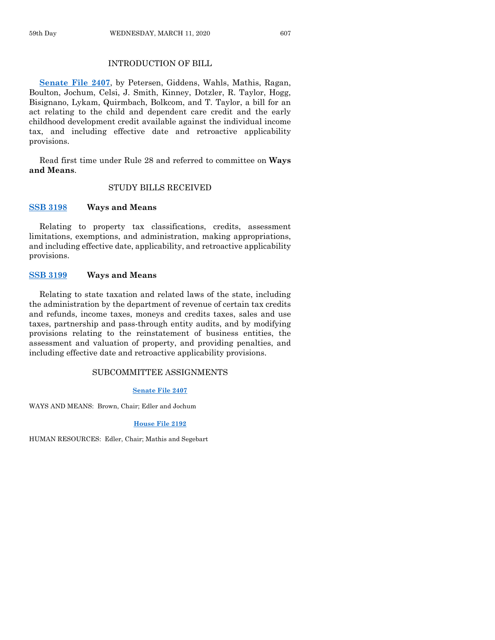## INTRODUCTION OF BILL

**[Senate File 2407](https://www.legis.iowa.gov/legislation/BillBook?ga=88&ba=SF2407)**, by Petersen, Giddens, Wahls, Mathis, Ragan, Boulton, Jochum, Celsi, J. Smith, Kinney, Dotzler, R. Taylor, Hogg, Bisignano, Lykam, Quirmbach, Bolkcom, and T. Taylor, a bill for an act relating to the child and dependent care credit and the early childhood development credit available against the individual income tax, and including effective date and retroactive applicability provisions.

Read first time under Rule 28 and referred to committee on **Ways and Means**.

## STUDY BILLS RECEIVED

#### **[SSB 3198](https://www.legis.iowa.gov/legislation/BillBook?ga=88&ba=SSB3198) Ways and Means**

Relating to property tax classifications, credits, assessment limitations, exemptions, and administration, making appropriations, and including effective date, applicability, and retroactive applicability provisions.

## **[SSB 3199](https://www.legis.iowa.gov/legislation/BillBook?ga=88&ba=SSB3199) Ways and Means**

Relating to state taxation and related laws of the state, including the administration by the department of revenue of certain tax credits and refunds, income taxes, moneys and credits taxes, sales and use taxes, partnership and pass-through entity audits, and by modifying provisions relating to the reinstatement of business entities, the assessment and valuation of property, and providing penalties, and including effective date and retroactive applicability provisions.

#### SUBCOMMITTEE ASSIGNMENTS

#### **[Senate File 2407](https://www.legis.iowa.gov/legislation/BillBook?ga=88&ba=SF2407)**

WAYS AND MEANS: Brown, Chair; Edler and Jochum

#### **[House File 2192](https://www.legis.iowa.gov/legislation/BillBook?ga=88&ba=HF2192)**

HUMAN RESOURCES: Edler, Chair; Mathis and Segebart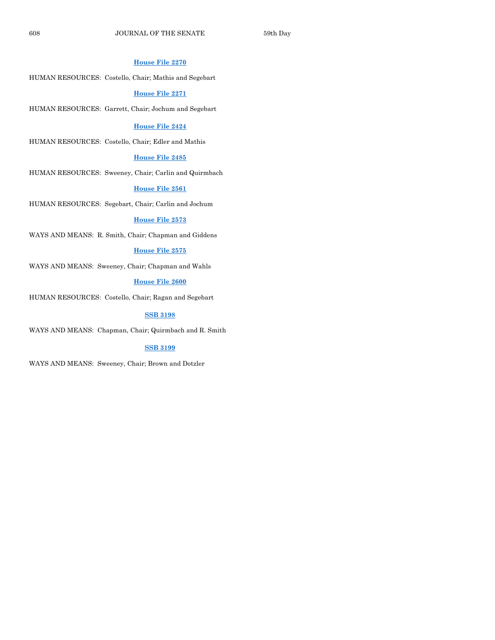#### **[House File 2270](https://www.legis.iowa.gov/legislation/BillBook?ga=88&ba=HF2270)**

HUMAN RESOURCES: Costello, Chair; Mathis and Segebart

#### **[House File 2271](https://www.legis.iowa.gov/legislation/BillBook?ga=88&ba=HF2271)**

HUMAN RESOURCES: Garrett, Chair; Jochum and Segebart

#### **[House File 2424](https://www.legis.iowa.gov/legislation/BillBook?ga=88&ba=HF2424)**

HUMAN RESOURCES: Costello, Chair; Edler and Mathis

#### **[House File 2485](https://www.legis.iowa.gov/legislation/BillBook?ga=88&ba=HF2485)**

HUMAN RESOURCES: Sweeney, Chair; Carlin and Quirmbach

## **[House File 2561](https://www.legis.iowa.gov/legislation/BillBook?ga=88&ba=HF2561)**

HUMAN RESOURCES: Segebart, Chair; Carlin and Jochum

#### **[House File 2573](https://www.legis.iowa.gov/legislation/BillBook?ga=88&ba=HF2573)**

WAYS AND MEANS: R. Smith, Chair; Chapman and Giddens

#### **[House File 2575](https://www.legis.iowa.gov/legislation/BillBook?ga=88&ba=HF2575)**

WAYS AND MEANS: Sweeney, Chair; Chapman and Wahls

#### **[House File 2600](https://www.legis.iowa.gov/legislation/BillBook?ga=88&ba=HF2600)**

HUMAN RESOURCES: Costello, Chair; Ragan and Segebart

#### **[SSB 3198](https://www.legis.iowa.gov/legislation/BillBook?ga=88&ba=SSB3198)**

WAYS AND MEANS: Chapman, Chair; Quirmbach and R. Smith

#### **[SSB 3199](https://www.legis.iowa.gov/legislation/BillBook?ga=88&ba=SSB3199)**

WAYS AND MEANS: Sweeney, Chair; Brown and Dotzler